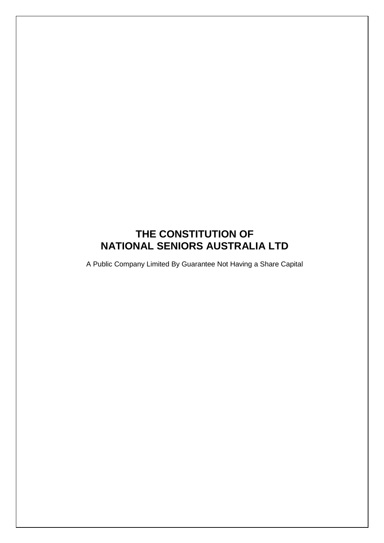# **THE CONSTITUTION OF NATIONAL SENIORS AUSTRALIA LTD**

A Public Company Limited By Guarantee Not Having a Share Capital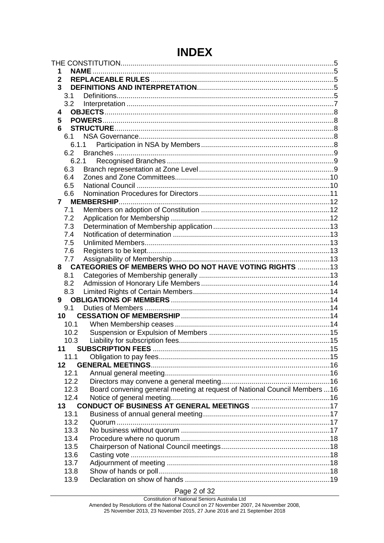# **INDEX**

| 1           |       | <b>NAME.</b>                                                               |  |
|-------------|-------|----------------------------------------------------------------------------|--|
| $\mathbf 2$ |       |                                                                            |  |
| 3           |       |                                                                            |  |
|             | 3.1   |                                                                            |  |
|             | 3.2   |                                                                            |  |
| 4           |       |                                                                            |  |
| 5           |       |                                                                            |  |
| 6           |       |                                                                            |  |
|             | 6.1   |                                                                            |  |
|             | 6.1.1 |                                                                            |  |
|             | 6.2   |                                                                            |  |
|             |       | 6.2.1                                                                      |  |
|             | 6.3   |                                                                            |  |
|             | 6.4   |                                                                            |  |
|             | 6.5   |                                                                            |  |
|             | 6.6   |                                                                            |  |
|             |       |                                                                            |  |
|             | 7.1   |                                                                            |  |
|             | 7.2   |                                                                            |  |
|             | 7.3   |                                                                            |  |
|             | 7.4   |                                                                            |  |
|             | 7.5   |                                                                            |  |
|             | 7.6   |                                                                            |  |
|             | 7.7   |                                                                            |  |
|             |       | 8 CATEGORIES OF MEMBERS WHO DO NOT HAVE VOTING RIGHTS  13                  |  |
|             | 8.1   |                                                                            |  |
|             | 8.2   |                                                                            |  |
|             | 8.3   |                                                                            |  |
|             |       |                                                                            |  |
|             | 9.1   |                                                                            |  |
|             | 10    |                                                                            |  |
|             | 10.1  |                                                                            |  |
|             | 10.2  |                                                                            |  |
|             | 10.3  |                                                                            |  |
| 11          |       |                                                                            |  |
|             | 11.1  |                                                                            |  |
| 12          |       |                                                                            |  |
|             | 12.1  |                                                                            |  |
|             | 12.2  |                                                                            |  |
|             | 12.3  | Board convening general meeting at request of National Council Members  16 |  |
|             | 12.4  |                                                                            |  |
|             | 13    |                                                                            |  |
|             | 13.1  |                                                                            |  |
|             | 13.2  |                                                                            |  |
|             | 13.3  |                                                                            |  |
|             | 13.4  |                                                                            |  |
|             | 13.5  |                                                                            |  |
|             | 13.6  |                                                                            |  |
|             | 13.7  |                                                                            |  |
|             | 13.8  |                                                                            |  |
|             | 13.9  |                                                                            |  |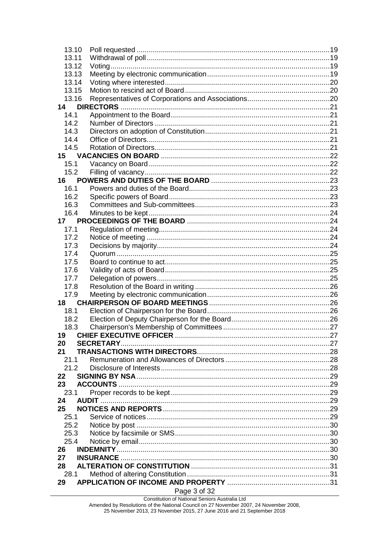| 13.10 |              |  |
|-------|--------------|--|
| 13.11 |              |  |
| 13.12 |              |  |
| 13.13 |              |  |
| 13.14 |              |  |
| 13.15 |              |  |
| 13.16 |              |  |
| 14    |              |  |
| 14.1  |              |  |
| 14.2  |              |  |
| 14.3  |              |  |
| 14.4  |              |  |
| 14.5  |              |  |
|       |              |  |
| 15    |              |  |
| 15.1  |              |  |
| 15.2  |              |  |
| 16    |              |  |
| 16.1  |              |  |
| 16.2  |              |  |
| 16.3  |              |  |
| 16.4  |              |  |
| 17    |              |  |
| 17.1  |              |  |
| 17.2  |              |  |
| 17.3  |              |  |
| 17.4  |              |  |
| 17.5  |              |  |
| 17.6  |              |  |
| 17.7  |              |  |
| 17.8  |              |  |
| 17.9  |              |  |
| 18 -  |              |  |
| 18.1  |              |  |
| 18.2  |              |  |
| 18.3  |              |  |
| 19    |              |  |
| 20    |              |  |
| 21    |              |  |
| 21.1  |              |  |
| 21.2  |              |  |
| 22    |              |  |
| 23    |              |  |
| 23.1  |              |  |
| 24    |              |  |
| 25    |              |  |
| 25.1  |              |  |
| 25.2  |              |  |
| 25.3  |              |  |
| 25.4  |              |  |
| 26    |              |  |
| 27    |              |  |
| 28    |              |  |
| 28.1  |              |  |
| 29    |              |  |
|       | Page 3 of 32 |  |
|       |              |  |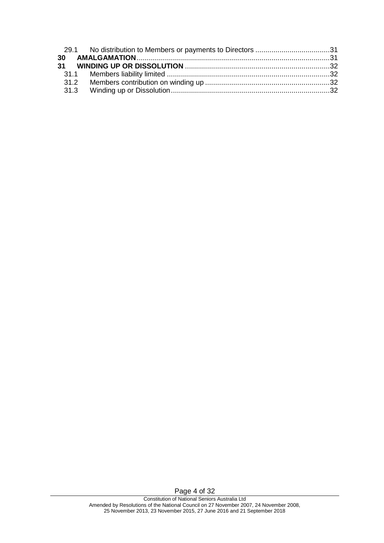Page 4 of 32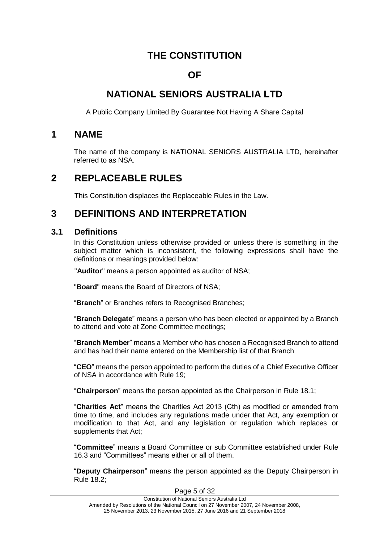# **THE CONSTITUTION**

## **OF**

# <span id="page-4-0"></span>**NATIONAL SENIORS AUSTRALIA LTD**

A Public Company Limited By Guarantee Not Having A Share Capital

### <span id="page-4-1"></span>**1 NAME**

The name of the company is NATIONAL SENIORS AUSTRALIA LTD, hereinafter referred to as NSA.

# <span id="page-4-2"></span>**2 REPLACEABLE RULES**

This Constitution displaces the Replaceable Rules in the Law.

## <span id="page-4-3"></span>**3 DEFINITIONS AND INTERPRETATION**

#### <span id="page-4-4"></span>**3.1 Definitions**

In this Constitution unless otherwise provided or unless there is something in the subject matter which is inconsistent, the following expressions shall have the definitions or meanings provided below:

"**Auditor**" means a person appointed as auditor of NSA;

"**Board**" means the Board of Directors of NSA;

"**Branch**" or Branches refers to Recognised Branches;

"**Branch Delegate**" means a person who has been elected or appointed by a Branch to attend and vote at Zone Committee meetings;

"**Branch Member**" means a Member who has chosen a Recognised Branch to attend and has had their name entered on the Membership list of that Branch

"**CEO**" means the person appointed to perform the duties of a Chief Executive Officer of NSA in accordance with Rule [19;](#page-26-1)

"**Chairperson**" means the person appointed as the Chairperson in Rule 18.1;

"**Charities Act**" means the Charities Act 2013 (Cth) as modified or amended from time to time, and includes any regulations made under that Act, any exemption or modification to that Act, and any legislation or regulation which replaces or supplements that Act;

"**Committee**" means a Board Committee or sub Committee established under Rule 16.3 and "Committees" means either or all of them.

"**Deputy Chairperson**" means the person appointed as the Deputy Chairperson in Rule 18.2;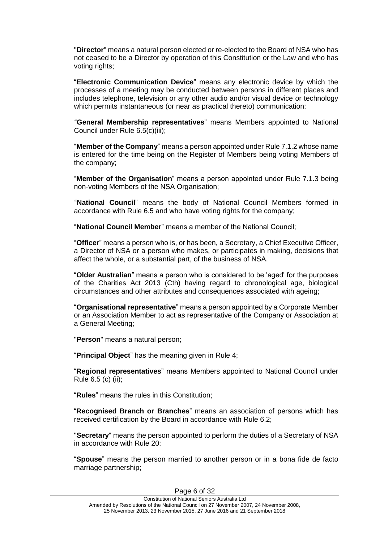"**Director**" means a natural person elected or re-elected to the Board of NSA who has not ceased to be a Director by operation of this Constitution or the Law and who has voting rights;

"**Electronic Communication Device**" means any electronic device by which the processes of a meeting may be conducted between persons in different places and includes telephone, television or any other audio and/or visual device or technology which permits instantaneous (or near as practical thereto) communication;

"**General Membership representatives**" means Members appointed to National Council under Rule 6.5(c)(iii);

"**Member of the Company**" means a person appointed under Rule 7.1.2 whose name is entered for the time being on the Register of Members being voting Members of the company;

"**Member of the Organisation**" means a person appointed under Rule 7.1.3 being non-voting Members of the NSA Organisation;

"**National Council**" means the body of National Council Members formed in accordance with Rule [6.5](#page-9-1) and who have voting rights for the company;

"**National Council Member**" means a member of the National Council;

"**Officer**" means a person who is, or has been, a Secretary, a Chief Executive Officer, a Director of NSA or a person who makes, or participates in making, decisions that affect the whole, or a substantial part, of the business of NSA.

"**Older Australian**" means a person who is considered to be 'aged' for the purposes of the Charities Act 2013 (Cth) having regard to chronological age, biological circumstances and other attributes and consequences associated with ageing;

"**Organisational representative**" means a person appointed by a Corporate Member or an Association Member to act as representative of the Company or Association at a General Meeting;

"**Person**" means a natural person;

"**Principal Object**" has the meaning given in Rule 4;

"**Regional representatives**" means Members appointed to National Council under Rule 6.5 (c) (ii);

"**Rules**" means the rules in this Constitution;

"**Recognised Branch or Branches**" means an association of persons which has received certification by the Board in accordance with Rule 6.2;

"**Secretary**" means the person appointed to perform the duties of a Secretary of NSA in accordance with Rule [20;](#page-26-2)

"**Spouse**" means the person married to another person or in a bona fide de facto marriage partnership;

Page 6 of 32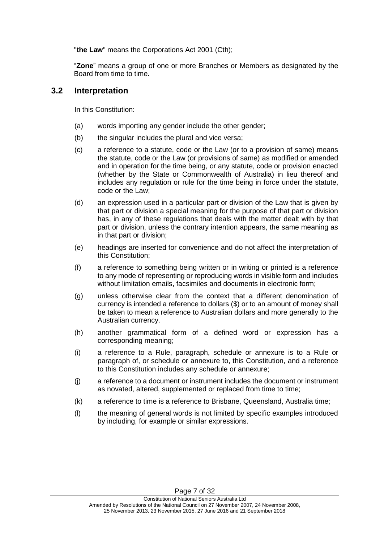"**the Law**" means the Corporations Act 2001 (Cth);

"**Zone**" means a group of one or more Branches or Members as designated by the Board from time to time.

#### <span id="page-6-0"></span>**3.2 Interpretation**

In this Constitution:

- (a) words importing any gender include the other gender;
- (b) the singular includes the plural and vice versa;
- (c) a reference to a statute, code or the Law (or to a provision of same) means the statute, code or the Law (or provisions of same) as modified or amended and in operation for the time being, or any statute, code or provision enacted (whether by the State or Commonwealth of Australia) in lieu thereof and includes any regulation or rule for the time being in force under the statute, code or the Law;
- (d) an expression used in a particular part or division of the Law that is given by that part or division a special meaning for the purpose of that part or division has, in any of these regulations that deals with the matter dealt with by that part or division, unless the contrary intention appears, the same meaning as in that part or division;
- (e) headings are inserted for convenience and do not affect the interpretation of this Constitution;
- (f) a reference to something being written or in writing or printed is a reference to any mode of representing or reproducing words in visible form and includes without limitation emails, facsimiles and documents in electronic form;
- (g) unless otherwise clear from the context that a different denomination of currency is intended a reference to dollars (\$) or to an amount of money shall be taken to mean a reference to Australian dollars and more generally to the Australian currency.
- (h) another grammatical form of a defined word or expression has a corresponding meaning;
- (i) a reference to a Rule, paragraph, schedule or annexure is to a Rule or paragraph of, or schedule or annexure to, this Constitution, and a reference to this Constitution includes any schedule or annexure;
- (j) a reference to a document or instrument includes the document or instrument as novated, altered, supplemented or replaced from time to time;
- (k) a reference to time is a reference to Brisbane, Queensland, Australia time;
- (l) the meaning of general words is not limited by specific examples introduced by including, for example or similar expressions.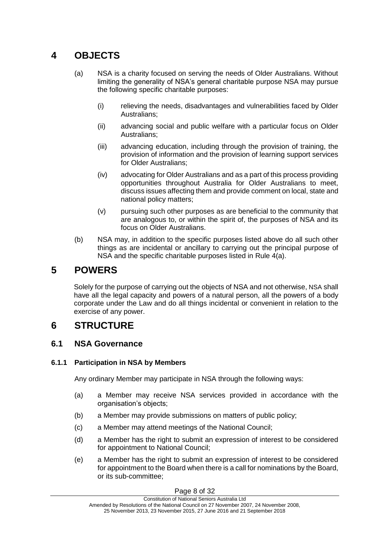# <span id="page-7-0"></span>**4 OBJECTS**

- (a) NSA is a charity focused on serving the needs of Older Australians. Without limiting the generality of NSA's general charitable purpose NSA may pursue the following specific charitable purposes:
	- (i) relieving the needs, disadvantages and vulnerabilities faced by Older Australians;
	- (ii) advancing social and public welfare with a particular focus on Older Australians;
	- (iii) advancing education, including through the provision of training, the provision of information and the provision of learning support services for Older Australians;
	- (iv) advocating for Older Australians and as a part of this process providing opportunities throughout Australia for Older Australians to meet, discuss issues affecting them and provide comment on local, state and national policy matters;
	- (v) pursuing such other purposes as are beneficial to the community that are analogous to, or within the spirit of, the purposes of NSA and its focus on Older Australians.
- (b) NSA may, in addition to the specific purposes listed above do all such other things as are incidental or ancillary to carrying out the principal purpose of NSA and the specific charitable purposes listed in Rule 4(a).

# <span id="page-7-1"></span>**5 POWERS**

Solely for the purpose of carrying out the objects of NSA and not otherwise, NSA shall have all the legal capacity and powers of a natural person, all the powers of a body corporate under the Law and do all things incidental or convenient in relation to the exercise of any power.

# <span id="page-7-2"></span>**6 STRUCTURE**

## <span id="page-7-3"></span>**6.1 NSA Governance**

#### <span id="page-7-4"></span>**6.1.1 Participation in NSA by Members**

Any ordinary Member may participate in NSA through the following ways:

- (a) a Member may receive NSA services provided in accordance with the organisation's objects;
- (b) a Member may provide submissions on matters of public policy;
- (c) a Member may attend meetings of the National Council;
- (d) a Member has the right to submit an expression of interest to be considered for appointment to National Council;
- (e) a Member has the right to submit an expression of interest to be considered for appointment to the Board when there is a call for nominations by the Board, or its sub-committee;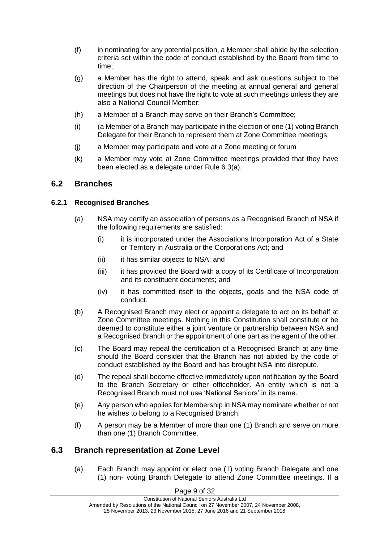- (f) in nominating for any potential position, a Member shall abide by the selection criteria set within the code of conduct established by the Board from time to time;
- (g) a Member has the right to attend, speak and ask questions subject to the direction of the Chairperson of the meeting at annual general and general meetings but does not have the right to vote at such meetings unless they are also a National Council Member;
- (h) a Member of a Branch may serve on their Branch's Committee;
- (i) (a Member of a Branch may participate in the election of one (1) voting Branch Delegate for their Branch to represent them at Zone Committee meetings;
- (j) a Member may participate and vote at a Zone meeting or forum
- (k) a Member may vote at Zone Committee meetings provided that they have been elected as a delegate under Rule 6.3(a).

### <span id="page-8-0"></span>**6.2 Branches**

#### <span id="page-8-1"></span>**6.2.1 Recognised Branches**

- (a) NSA may certify an association of persons as a Recognised Branch of NSA if the following requirements are satisfied:
	- (i) it is incorporated under the Associations Incorporation Act of a State or Territory in Australia or the Corporations Act; and
	- (ii) it has similar objects to NSA; and
	- (iii) it has provided the Board with a copy of its Certificate of Incorporation and its constituent documents; and
	- (iv) it has committed itself to the objects, goals and the NSA code of conduct.
- (b) A Recognised Branch may elect or appoint a delegate to act on its behalf at Zone Committee meetings. Nothing in this Constitution shall constitute or be deemed to constitute either a joint venture or partnership between NSA and a Recognised Branch or the appointment of one part as the agent of the other.
- (c) The Board may repeal the certification of a Recognised Branch at any time should the Board consider that the Branch has not abided by the code of conduct established by the Board and has brought NSA into disrepute.
- (d) The repeal shall become effective immediately upon notification by the Board to the Branch Secretary or other officeholder. An entity which is not a Recognised Branch must not use 'National Seniors' in its name.
- (e) Any person who applies for Membership in NSA may nominate whether or not he wishes to belong to a Recognised Branch.
- (f) A person may be a Member of more than one (1) Branch and serve on more than one (1) Branch Committee.

### <span id="page-8-2"></span>**6.3 Branch representation at Zone Level**

(a) Each Branch may appoint or elect one (1) voting Branch Delegate and one (1) non- voting Branch Delegate to attend Zone Committee meetings. If a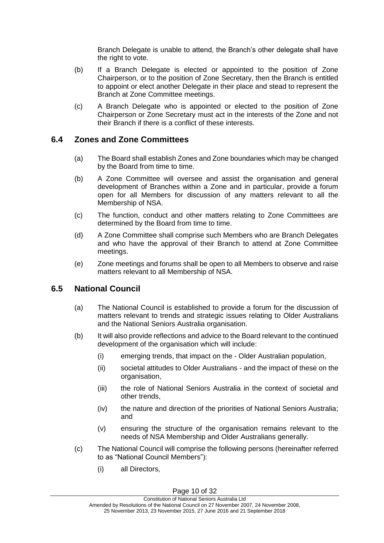Branch Delegate is unable to attend, the Branch's other delegate shall have the right to vote.

- (b) If a Branch Delegate is elected or appointed to the position of Zone Chairperson, or to the position of Zone Secretary, then the Branch is entitled to appoint or elect another Delegate in their place and stead to represent the Branch at Zone Committee meetings.
- (c) A Branch Delegate who is appointed or elected to the position of Zone Chairperson or Zone Secretary must act in the interests of the Zone and not their Branch if there is a conflict of these interests.

#### <span id="page-9-0"></span>**6.4 Zones and Zone Committees**

- (a) The Board shall establish Zones and Zone boundaries which may be changed by the Board from time to time.
- (b) A Zone Committee will oversee and assist the organisation and general development of Branches within a Zone and in particular, provide a forum open for all Members for discussion of any matters relevant to all the Membership of NSA.
- (c) The function, conduct and other matters relating to Zone Committees are determined by the Board from time to time.
- (d) A Zone Committee shall comprise such Members who are Branch Delegates and who have the approval of their Branch to attend at Zone Committee meetings.
- (e) Zone meetings and forums shall be open to all Members to observe and raise matters relevant to all Membership of NSA.

#### <span id="page-9-1"></span>**6.5 National Council**

- (a) The National Council is established to provide a forum for the discussion of matters relevant to trends and strategic issues relating to Older Australians and the National Seniors Australia organisation.
- (b) It will also provide reflections and advice to the Board relevant to the continued development of the organisation which will include:
	- (i) emerging trends, that impact on the Older Australian population,
	- (ii) societal attitudes to Older Australians and the impact of these on the organisation,
	- (iii) the role of National Seniors Australia in the context of societal and other trends,
	- (iv) the nature and direction of the priorities of National Seniors Australia; and
	- (v) ensuring the structure of the organisation remains relevant to the needs of NSA Membership and Older Australians generally.
- (c) The National Council will comprise the following persons (hereinafter referred to as "National Council Members"):
	- (i) all Directors,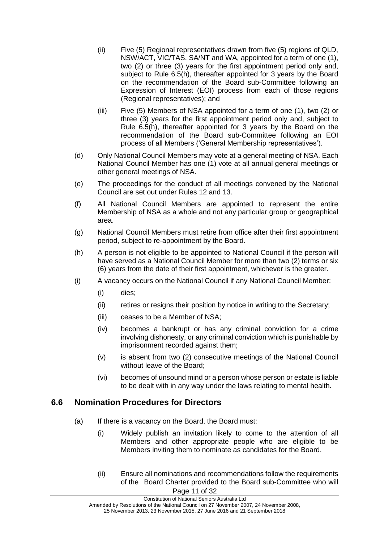- (ii) Five (5) Regional representatives drawn from five (5) regions of QLD, NSW/ACT, VIC/TAS, SA/NT and WA, appointed for a term of one (1), two (2) or three (3) years for the first appointment period only and, subject to Rule 6.5(h), thereafter appointed for 3 years by the Board on the recommendation of the Board sub-Committee following an Expression of Interest (EOI) process from each of those regions (Regional representatives); and
- (iii) Five (5) Members of NSA appointed for a term of one (1), two (2) or three (3) years for the first appointment period only and, subject to Rule 6.5(h), thereafter appointed for 3 years by the Board on the recommendation of the Board sub-Committee following an EOI process of all Members ('General Membership representatives').
- (d) Only National Council Members may vote at a general meeting of NSA. Each National Council Member has one (1) vote at all annual general meetings or other general meetings of NSA.
- (e) The proceedings for the conduct of all meetings convened by the National Council are set out under Rules [12](#page-15-0) and [13.](#page-16-0)
- (f) All National Council Members are appointed to represent the entire Membership of NSA as a whole and not any particular group or geographical area.
- (g) National Council Members must retire from office after their first appointment period, subject to re-appointment by the Board.
- (h) A person is not eligible to be appointed to National Council if the person will have served as a National Council Member for more than two (2) terms or six (6) years from the date of their first appointment, whichever is the greater.
- (i) A vacancy occurs on the National Council if any National Council Member:
	- (i) dies;
	- (ii) retires or resigns their position by notice in writing to the Secretary;
	- (iii) ceases to be a Member of NSA;
	- (iv) becomes a bankrupt or has any criminal conviction for a crime involving dishonesty, or any criminal conviction which is punishable by imprisonment recorded against them;
	- (v) is absent from two (2) consecutive meetings of the National Council without leave of the Board;
	- (vi) becomes of unsound mind or a person whose person or estate is liable to be dealt with in any way under the laws relating to mental health.

#### <span id="page-10-0"></span>**6.6 Nomination Procedures for Directors**

- (a) If there is a vacancy on the Board, the Board must:
	- (i) Widely publish an invitation likely to come to the attention of all Members and other appropriate people who are eligible to be Members inviting them to nominate as candidates for the Board.
	- Page 11 of 32 (ii) Ensure all nominations and recommendations follow the requirements of the Board Charter provided to the Board sub-Committee who will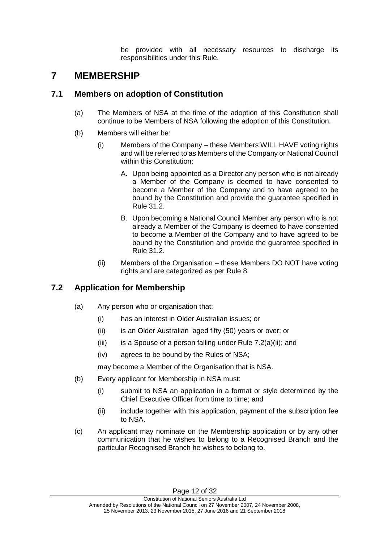be provided with all necessary resources to discharge its responsibilities under this Rule.

# <span id="page-11-0"></span>**7 MEMBERSHIP**

### <span id="page-11-1"></span>**7.1 Members on adoption of Constitution**

- (a) The Members of NSA at the time of the adoption of this Constitution shall continue to be Members of NSA following the adoption of this Constitution.
- (b) Members will either be:
	- (i) Members of the Company these Members WILL HAVE voting rights and will be referred to as Members of the Company or National Council within this Constitution:
		- A. Upon being appointed as a Director any person who is not already a Member of the Company is deemed to have consented to become a Member of the Company and to have agreed to be bound by the Constitution and provide the guarantee specified in Rule 31.2.
		- B. Upon becoming a National Council Member any person who is not already a Member of the Company is deemed to have consented to become a Member of the Company and to have agreed to be bound by the Constitution and provide the guarantee specified in Rule 31.2.
	- (ii) Members of the Organisation these Members DO NOT have voting rights and are categorized as per Rule 8.

## <span id="page-11-2"></span>**7.2 Application for Membership**

- (a) Any person who or organisation that:
	- (i) has an interest in Older Australian issues; or
	- (ii) is an Older Australian aged fifty (50) years or over; or
	- (iii) is a Spouse of a person falling under Rule  $7.2(a)(ii)$ ; and
	- (iv) agrees to be bound by the Rules of NSA;

may become a Member of the Organisation that is NSA.

- (b) Every applicant for Membership in NSA must:
	- (i) submit to NSA an application in a format or style determined by the Chief Executive Officer from time to time; and
	- (ii) include together with this application, payment of the subscription fee to NSA.
- (c) An applicant may nominate on the Membership application or by any other communication that he wishes to belong to a Recognised Branch and the particular Recognised Branch he wishes to belong to.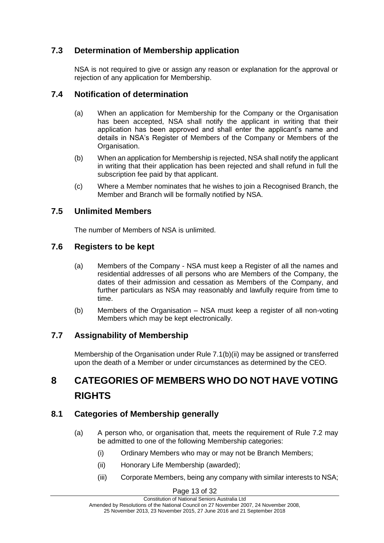## <span id="page-12-0"></span>**7.3 Determination of Membership application**

NSA is not required to give or assign any reason or explanation for the approval or rejection of any application for Membership.

### <span id="page-12-1"></span>**7.4 Notification of determination**

- (a) When an application for Membership for the Company or the Organisation has been accepted, NSA shall notify the applicant in writing that their application has been approved and shall enter the applicant's name and details in NSA's Register of Members of the Company or Members of the Organisation.
- (b) When an application for Membership is rejected, NSA shall notify the applicant in writing that their application has been rejected and shall refund in full the subscription fee paid by that applicant.
- (c) Where a Member nominates that he wishes to join a Recognised Branch, the Member and Branch will be formally notified by NSA.

### <span id="page-12-2"></span>**7.5 Unlimited Members**

The number of Members of NSA is unlimited.

### <span id="page-12-3"></span>**7.6 Registers to be kept**

- (a) Members of the Company NSA must keep a Register of all the names and residential addresses of all persons who are Members of the Company, the dates of their admission and cessation as Members of the Company, and further particulars as NSA may reasonably and lawfully require from time to time.
- (b) Members of the Organisation NSA must keep a register of all non-voting Members which may be kept electronically.

### <span id="page-12-4"></span>**7.7 Assignability of Membership**

Membership of the Organisation under Rule 7.1(b)(ii) may be assigned or transferred upon the death of a Member or under circumstances as determined by the CEO.

# <span id="page-12-5"></span>**8 CATEGORIES OF MEMBERS WHO DO NOT HAVE VOTING RIGHTS**

### <span id="page-12-6"></span>**8.1 Categories of Membership generally**

- (a) A person who, or organisation that, meets the requirement of Rule 7.2 may be admitted to one of the following Membership categories:
	- (i) Ordinary Members who may or may not be Branch Members;
	- (ii) Honorary Life Membership (awarded);
	- (iii) Corporate Members, being any company with similar interests to NSA;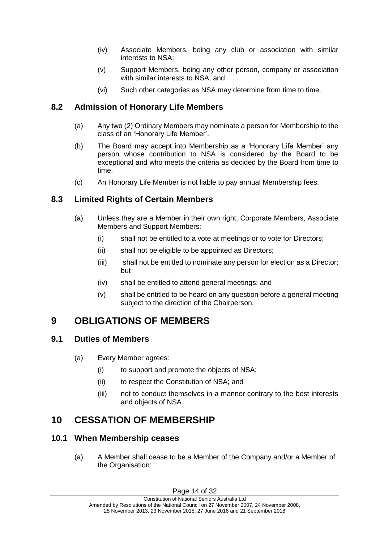- (iv) Associate Members, being any club or association with similar interests to NSA;
- (v) Support Members, being any other person, company or association with similar interests to NSA; and
- (vi) Such other categories as NSA may determine from time to time.

### <span id="page-13-0"></span>**8.2 Admission of Honorary Life Members**

- (a) Any two (2) Ordinary Members may nominate a person for Membership to the class of an 'Honorary Life Member'.
- (b) The Board may accept into Membership as a 'Honorary Life Member' any person whose contribution to NSA is considered by the Board to be exceptional and who meets the criteria as decided by the Board from time to time.
- (c) An Honorary Life Member is not liable to pay annual Membership fees.

### <span id="page-13-1"></span>**8.3 Limited Rights of Certain Members**

- (a) Unless they are a Member in their own right, Corporate Members, Associate Members and Support Members:
	- (i) shall not be entitled to a vote at meetings or to vote for Directors;
	- (ii) shall not be eligible to be appointed as Directors;
	- (iii) shall not be entitled to nominate any person for election as a Director; but
	- (iv) shall be entitled to attend general meetings; and
	- (v) shall be entitled to be heard on any question before a general meeting subject to the direction of the Chairperson.

# <span id="page-13-2"></span>**9 OBLIGATIONS OF MEMBERS**

### <span id="page-13-3"></span>**9.1 Duties of Members**

- (a) Every Member agrees:
	- (i) to support and promote the objects of NSA;
	- (ii) to respect the Constitution of NSA; and
	- (iii) not to conduct themselves in a manner contrary to the best interests and objects of NSA.

# <span id="page-13-4"></span>**10 CESSATION OF MEMBERSHIP**

### <span id="page-13-5"></span>**10.1 When Membership ceases**

(a) A Member shall cease to be a Member of the Company and/or a Member of the Organisation: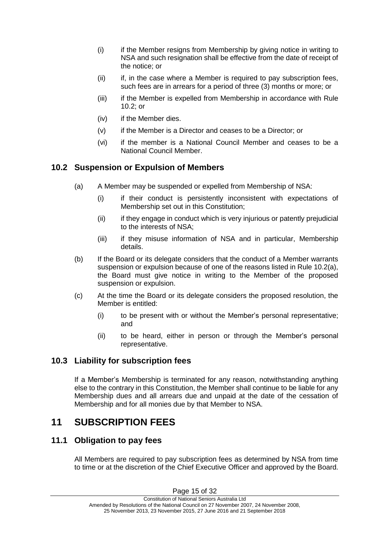- (i) if the Member resigns from Membership by giving notice in writing to NSA and such resignation shall be effective from the date of receipt of the notice; or
- (ii) if, in the case where a Member is required to pay subscription fees, such fees are in arrears for a period of three (3) months or more; or
- (iii) if the Member is expelled from Membership in accordance with Rule [10.2;](#page-14-0) or
- (iv) if the Member dies.
- (v) if the Member is a Director and ceases to be a Director; or
- (vi) if the member is a National Council Member and ceases to be a National Council Member.

### <span id="page-14-0"></span>**10.2 Suspension or Expulsion of Members**

- (a) A Member may be suspended or expelled from Membership of NSA:
	- (i) if their conduct is persistently inconsistent with expectations of Membership set out in this Constitution;
	- (ii) if they engage in conduct which is very injurious or patently prejudicial to the interests of NSA;
	- (iii) if they misuse information of NSA and in particular, Membership details.
- (b) If the Board or its delegate considers that the conduct of a Member warrants suspension or expulsion because of one of the reasons listed in Rule [10.2\(](#page-14-0)a), the Board must give notice in writing to the Member of the proposed suspension or expulsion.
- (c) At the time the Board or its delegate considers the proposed resolution, the Member is entitled:
	- (i) to be present with or without the Member's personal representative; and
	- (ii) to be heard, either in person or through the Member's personal representative.

### <span id="page-14-1"></span>**10.3 Liability for subscription fees**

If a Member's Membership is terminated for any reason, notwithstanding anything else to the contrary in this Constitution, the Member shall continue to be liable for any Membership dues and all arrears due and unpaid at the date of the cessation of Membership and for all monies due by that Member to NSA.

# <span id="page-14-2"></span>**11 SUBSCRIPTION FEES**

### <span id="page-14-3"></span>**11.1 Obligation to pay fees**

All Members are required to pay subscription fees as determined by NSA from time to time or at the discretion of the Chief Executive Officer and approved by the Board.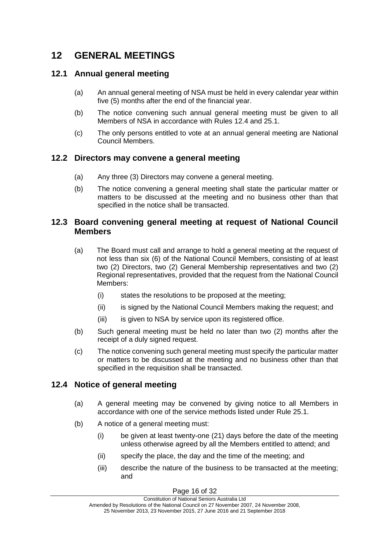# <span id="page-15-0"></span>**12 GENERAL MEETINGS**

### <span id="page-15-1"></span>**12.1 Annual general meeting**

- (a) An annual general meeting of NSA must be held in every calendar year within five (5) months after the end of the financial year.
- (b) The notice convening such annual general meeting must be given to all Members of NSA in accordance with Rules [12.4](#page-15-4) and 25.1.
- (c) The only persons entitled to vote at an annual general meeting are National Council Members.

#### <span id="page-15-2"></span>**12.2 Directors may convene a general meeting**

- (a) Any three (3) Directors may convene a general meeting.
- (b) The notice convening a general meeting shall state the particular matter or matters to be discussed at the meeting and no business other than that specified in the notice shall be transacted.

#### <span id="page-15-3"></span>**12.3 Board convening general meeting at request of National Council Members**

- (a) The Board must call and arrange to hold a general meeting at the request of not less than six (6) of the National Council Members, consisting of at least two (2) Directors, two (2) General Membership representatives and two (2) Regional representatives, provided that the request from the National Council Members:
	- (i) states the resolutions to be proposed at the meeting;
	- (ii) is signed by the National Council Members making the request; and
	- (iii) is given to NSA by service upon its registered office.
- (b) Such general meeting must be held no later than two (2) months after the receipt of a duly signed request.
- (c) The notice convening such general meeting must specify the particular matter or matters to be discussed at the meeting and no business other than that specified in the requisition shall be transacted.

### <span id="page-15-4"></span>**12.4 Notice of general meeting**

- (a) A general meeting may be convened by giving notice to all Members in accordance with one of the service methods listed under Rule 25.1.
- (b) A notice of a general meeting must:
	- (i) be given at least twenty-one (21) days before the date of the meeting unless otherwise agreed by all the Members entitled to attend; and
	- (ii) specify the place, the day and the time of the meeting; and
	- (iii) describe the nature of the business to be transacted at the meeting; and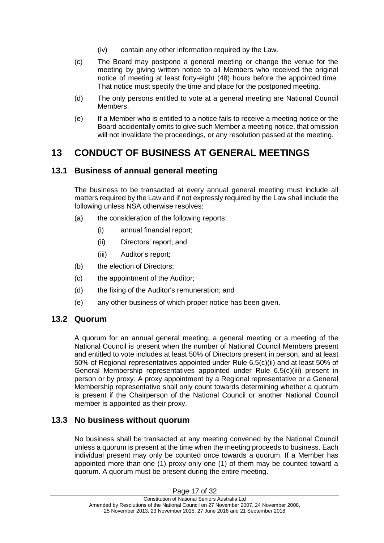- (iv) contain any other information required by the Law.
- (c) The Board may postpone a general meeting or change the venue for the meeting by giving written notice to all Members who received the original notice of meeting at least forty-eight (48) hours before the appointed time. That notice must specify the time and place for the postponed meeting.
- (d) The only persons entitled to vote at a general meeting are National Council Members.
- (e) If a Member who is entitled to a notice fails to receive a meeting notice or the Board accidentally omits to give such Member a meeting notice, that omission will not invalidate the proceedings, or any resolution passed at the meeting.

# <span id="page-16-0"></span>**13 CONDUCT OF BUSINESS AT GENERAL MEETINGS**

### <span id="page-16-1"></span>**13.1 Business of annual general meeting**

The business to be transacted at every annual general meeting must include all matters required by the Law and if not expressly required by the Law shall include the following unless NSA otherwise resolves:

- (a) the consideration of the following reports:
	- (i) annual financial report;
	- (ii) Directors' report; and
	- (iii) Auditor's report;
- (b) the election of Directors;
- (c) the appointment of the Auditor;
- (d) the fixing of the Auditor's remuneration; and
- (e) any other business of which proper notice has been given.

### <span id="page-16-2"></span>**13.2 Quorum**

A quorum for an annual general meeting, a general meeting or a meeting of the National Council is present when the number of National Council Members present and entitled to vote includes at least 50% of Directors present in person, and at least 50% of Regional representatives appointed under Rule 6.5(c)(ii) and at least 50% of General Membership representatives appointed under Rule 6.5(c)(iii) present in person or by proxy. A proxy appointment by a Regional representative or a General Membership representative shall only count towards determining whether a quorum is present if the Chairperson of the National Council or another National Council member is appointed as their proxy.

### <span id="page-16-3"></span>**13.3 No business without quorum**

No business shall be transacted at any meeting convened by the National Council unless a quorum is present at the time when the meeting proceeds to business. Each individual present may only be counted once towards a quorum. If a Member has appointed more than one (1) proxy only one (1) of them may be counted toward a quorum. A quorum must be present during the entire meeting.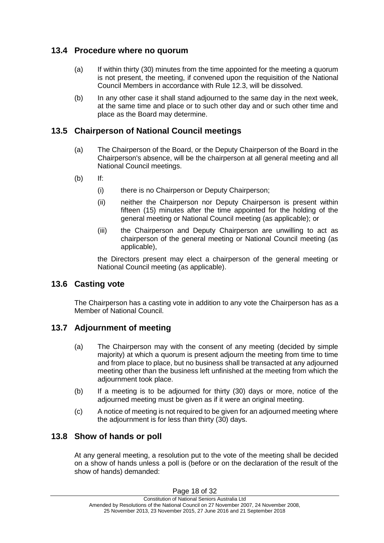### <span id="page-17-0"></span>**13.4 Procedure where no quorum**

- (a) If within thirty (30) minutes from the time appointed for the meeting a quorum is not present, the meeting, if convened upon the requisition of the National Council Members in accordance with Rule [12.3,](#page-15-3) will be dissolved.
- (b) In any other case it shall stand adjourned to the same day in the next week, at the same time and place or to such other day and or such other time and place as the Board may determine.

### <span id="page-17-1"></span>**13.5 Chairperson of National Council meetings**

- (a) The Chairperson of the Board, or the Deputy Chairperson of the Board in the Chairperson's absence, will be the chairperson at all general meeting and all National Council meetings.
- (b) If:
	- (i) there is no Chairperson or Deputy Chairperson;
	- (ii) neither the Chairperson nor Deputy Chairperson is present within fifteen (15) minutes after the time appointed for the holding of the general meeting or National Council meeting (as applicable); or
	- (iii) the Chairperson and Deputy Chairperson are unwilling to act as chairperson of the general meeting or National Council meeting (as applicable),

the Directors present may elect a chairperson of the general meeting or National Council meeting (as applicable).

#### <span id="page-17-2"></span>**13.6 Casting vote**

The Chairperson has a casting vote in addition to any vote the Chairperson has as a Member of National Council.

#### <span id="page-17-3"></span>**13.7 Adjournment of meeting**

- (a) The Chairperson may with the consent of any meeting (decided by simple majority) at which a quorum is present adjourn the meeting from time to time and from place to place, but no business shall be transacted at any adjourned meeting other than the business left unfinished at the meeting from which the adjournment took place.
- (b) If a meeting is to be adjourned for thirty (30) days or more, notice of the adjourned meeting must be given as if it were an original meeting.
- (c) A notice of meeting is not required to be given for an adjourned meeting where the adjournment is for less than thirty (30) days.

#### <span id="page-17-4"></span>**13.8 Show of hands or poll**

At any general meeting, a resolution put to the vote of the meeting shall be decided on a show of hands unless a poll is (before or on the declaration of the result of the show of hands) demanded: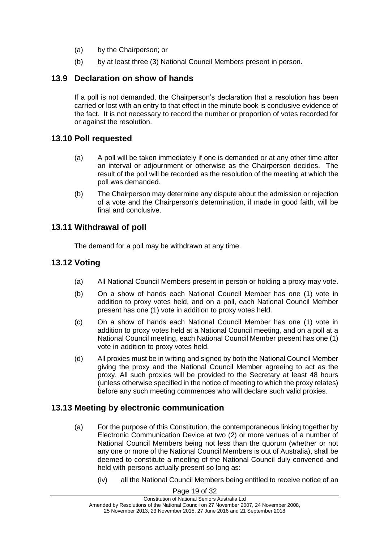- (a) by the Chairperson; or
- (b) by at least three (3) National Council Members present in person.

### <span id="page-18-0"></span>**13.9 Declaration on show of hands**

If a poll is not demanded, the Chairperson's declaration that a resolution has been carried or lost with an entry to that effect in the minute book is conclusive evidence of the fact. It is not necessary to record the number or proportion of votes recorded for or against the resolution.

### <span id="page-18-1"></span>**13.10 Poll requested**

- (a) A poll will be taken immediately if one is demanded or at any other time after an interval or adjournment or otherwise as the Chairperson decides. The result of the poll will be recorded as the resolution of the meeting at which the poll was demanded.
- (b) The Chairperson may determine any dispute about the admission or rejection of a vote and the Chairperson's determination, if made in good faith, will be final and conclusive.

### <span id="page-18-2"></span>**13.11 Withdrawal of poll**

The demand for a poll may be withdrawn at any time.

### <span id="page-18-3"></span>**13.12 Voting**

- (a) All National Council Members present in person or holding a proxy may vote.
- (b) On a show of hands each National Council Member has one (1) vote in addition to proxy votes held, and on a poll, each National Council Member present has one (1) vote in addition to proxy votes held.
- (c) On a show of hands each National Council Member has one (1) vote in addition to proxy votes held at a National Council meeting, and on a poll at a National Council meeting, each National Council Member present has one (1) vote in addition to proxy votes held.
- (d) All proxies must be in writing and signed by both the National Council Member giving the proxy and the National Council Member agreeing to act as the proxy. All such proxies will be provided to the Secretary at least 48 hours (unless otherwise specified in the notice of meeting to which the proxy relates) before any such meeting commences who will declare such valid proxies.

#### <span id="page-18-4"></span>**13.13 Meeting by electronic communication**

- (a) For the purpose of this Constitution, the contemporaneous linking together by Electronic Communication Device at two (2) or more venues of a number of National Council Members being not less than the quorum (whether or not any one or more of the National Council Members is out of Australia), shall be deemed to constitute a meeting of the National Council duly convened and held with persons actually present so long as:
	- (iv) all the National Council Members being entitled to receive notice of an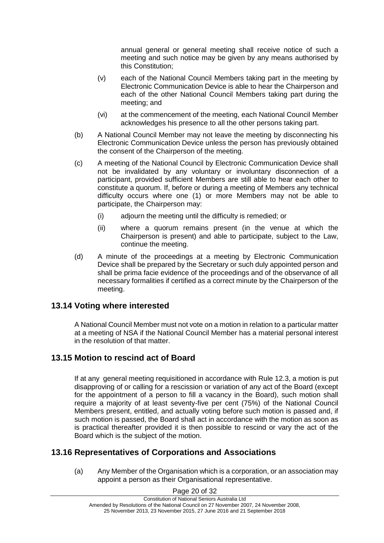annual general or general meeting shall receive notice of such a meeting and such notice may be given by any means authorised by this Constitution;

- (v) each of the National Council Members taking part in the meeting by Electronic Communication Device is able to hear the Chairperson and each of the other National Council Members taking part during the meeting; and
- (vi) at the commencement of the meeting, each National Council Member acknowledges his presence to all the other persons taking part.
- (b) A National Council Member may not leave the meeting by disconnecting his Electronic Communication Device unless the person has previously obtained the consent of the Chairperson of the meeting.
- (c) A meeting of the National Council by Electronic Communication Device shall not be invalidated by any voluntary or involuntary disconnection of a participant, provided sufficient Members are still able to hear each other to constitute a quorum. If, before or during a meeting of Members any technical difficulty occurs where one (1) or more Members may not be able to participate, the Chairperson may:
	- (i) adjourn the meeting until the difficulty is remedied; or
	- (ii) where a quorum remains present (in the venue at which the Chairperson is present) and able to participate, subject to the Law, continue the meeting.
- (d) A minute of the proceedings at a meeting by Electronic Communication Device shall be prepared by the Secretary or such duly appointed person and shall be prima facie evidence of the proceedings and of the observance of all necessary formalities if certified as a correct minute by the Chairperson of the meeting.

#### <span id="page-19-0"></span>**13.14 Voting where interested**

A National Council Member must not vote on a motion in relation to a particular matter at a meeting of NSA if the National Council Member has a material personal interest in the resolution of that matter.

#### <span id="page-19-1"></span>**13.15 Motion to rescind act of Board**

If at any general meeting requisitioned in accordance with Rule [12.3,](#page-15-3) a motion is put disapproving of or calling for a rescission or variation of any act of the Board (except for the appointment of a person to fill a vacancy in the Board), such motion shall require a majority of at least seventy-five per cent (75%) of the National Council Members present, entitled, and actually voting before such motion is passed and, if such motion is passed, the Board shall act in accordance with the motion as soon as is practical thereafter provided it is then possible to rescind or vary the act of the Board which is the subject of the motion.

### <span id="page-19-2"></span>**13.16 Representatives of Corporations and Associations**

(a) Any Member of the Organisation which is a corporation, or an association may appoint a person as their Organisational representative.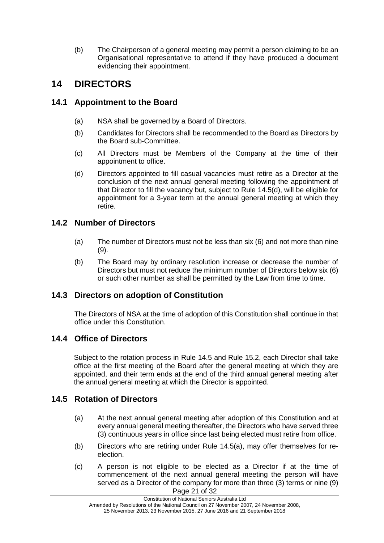(b) The Chairperson of a general meeting may permit a person claiming to be an Organisational representative to attend if they have produced a document evidencing their appointment.

# <span id="page-20-0"></span>**14 DIRECTORS**

### <span id="page-20-1"></span>**14.1 Appointment to the Board**

- (a) NSA shall be governed by a Board of Directors.
- (b) Candidates for Directors shall be recommended to the Board as Directors by the Board sub-Committee.
- (c) All Directors must be Members of the Company at the time of their appointment to office.
- (d) Directors appointed to fill casual vacancies must retire as a Director at the conclusion of the next annual general meeting following the appointment of that Director to fill the vacancy but, subject to Rule 14.5(d), will be eligible for appointment for a 3-year term at the annual general meeting at which they retire.

## <span id="page-20-2"></span>**14.2 Number of Directors**

- (a) The number of Directors must not be less than six (6) and not more than nine (9).
- (b) The Board may by ordinary resolution increase or decrease the number of Directors but must not reduce the minimum number of Directors below six (6) or such other number as shall be permitted by the Law from time to time.

## <span id="page-20-3"></span>**14.3 Directors on adoption of Constitution**

The Directors of NSA at the time of adoption of this Constitution shall continue in that office under this Constitution.

## <span id="page-20-4"></span>**14.4 Office of Directors**

Subject to the rotation process in Rule 14.5 and Rule 15.2, each Director shall take office at the first meeting of the Board after the general meeting at which they are appointed, and their term ends at the end of the third annual general meeting after the annual general meeting at which the Director is appointed.

## <span id="page-20-5"></span>**14.5 Rotation of Directors**

- (a) At the next annual general meeting after adoption of this Constitution and at every annual general meeting thereafter, the Directors who have served three (3) continuous years in office since last being elected must retire from office.
- (b) Directors who are retiring under Rule 14.5(a), may offer themselves for reelection.
- Page 21 of 32 (c) A person is not eligible to be elected as a Director if at the time of commencement of the next annual general meeting the person will have served as a Director of the company for more than three (3) terms or nine (9)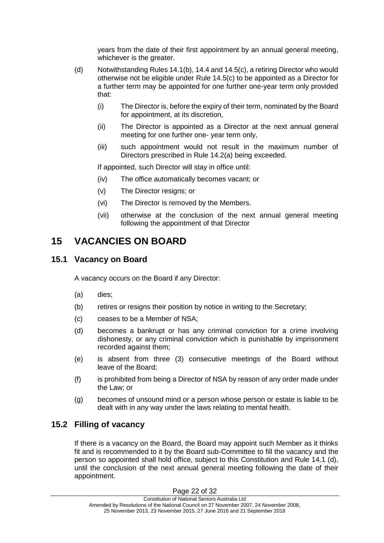years from the date of their first appointment by an annual general meeting, whichever is the greater.

- (d) Notwithstanding Rules 14.1(b), 14.4 and 14.5(c), a retiring Director who would otherwise not be eligible under Rule 14.5(c) to be appointed as a Director for a further term may be appointed for one further one-year term only provided that:
	- (i) The Director is, before the expiry of their term, nominated by the Board for appointment, at its discretion,
	- (ii) The Director is appointed as a Director at the next annual general meeting for one further one- year term only,
	- (iii) such appointment would not result in the maximum number of Directors prescribed in Rule 14.2(a) being exceeded.

If appointed, such Director will stay in office until:

- (iv) The office automatically becomes vacant; or
- (v) The Director resigns; or
- (vi) The Director is removed by the Members.
- (vii) otherwise at the conclusion of the next annual general meeting following the appointment of that Director

# <span id="page-21-0"></span>**15 VACANCIES ON BOARD**

#### <span id="page-21-1"></span>**15.1 Vacancy on Board**

A vacancy occurs on the Board if any Director:

- (a) dies;
- (b) retires or resigns their position by notice in writing to the Secretary;
- (c) ceases to be a Member of NSA;
- (d) becomes a bankrupt or has any criminal conviction for a crime involving dishonesty, or any criminal conviction which is punishable by imprisonment recorded against them;
- (e) is absent from three (3) consecutive meetings of the Board without leave of the Board;
- (f) is prohibited from being a Director of NSA by reason of any order made under the Law; or
- (g) becomes of unsound mind or a person whose person or estate is liable to be dealt with in any way under the laws relating to mental health.

### <span id="page-21-2"></span>**15.2 Filling of vacancy**

If there is a vacancy on the Board, the Board may appoint such Member as it thinks fit and is recommended to it by the Board sub-Committee to fill the vacancy and the person so appointed shall hold office, subject to this Constitution and Rule 14.1 (d), until the conclusion of the next annual general meeting following the date of their appointment.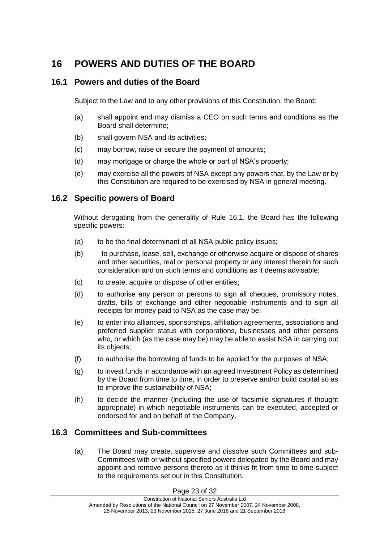# <span id="page-22-0"></span>**16 POWERS AND DUTIES OF THE BOARD**

### <span id="page-22-1"></span>**16.1 Powers and duties of the Board**

Subject to the Law and to any other provisions of this Constitution, the Board:

- (a) shall appoint and may dismiss a CEO on such terms and conditions as the Board shall determine;
- (b) shall govern NSA and its activities;
- (c) may borrow, raise or secure the payment of amounts;
- (d) may mortgage or charge the whole or part of NSA's property;
- (e) may exercise all the powers of NSA except any powers that, by the Law or by this Constitution are required to be exercised by NSA in general meeting.

### <span id="page-22-2"></span>**16.2 Specific powers of Board**

Without derogating from the generality of Rule [16.1,](#page-22-1) the Board has the following specific powers:

- (a) to be the final determinant of all NSA public policy issues;
- (b) to purchase, lease, sell, exchange or otherwise acquire or dispose of shares and other securities, real or personal property or any interest therein for such consideration and on such terms and conditions as it deems advisable;
- (c) to create, acquire or dispose of other entities;
- (d) to authorise any person or persons to sign all cheques, promissory notes, drafts, bills of exchange and other negotiable instruments and to sign all receipts for money paid to NSA as the case may be;
- (e) to enter into alliances, sponsorships, affiliation agreements, associations and preferred supplier status with corporations, businesses and other persons who, or which (as the case may be) may be able to assist NSA in carrying out its objects;
- (f) to authorise the borrowing of funds to be applied for the purposes of NSA;
- (g) to invest funds in accordance with an agreed Investment Policy as determined by the Board from time to time, in order to preserve and/or build capital so as to improve the sustainability of NSA;
- (h) to decide the manner (including the use of facsimile signatures if thought appropriate) in which negotiable instruments can be executed, accepted or endorsed for and on behalf of the Company.

### <span id="page-22-3"></span>**16.3 Committees and Sub-committees**

(a) The Board may create, supervise and dissolve such Committees and sub-Committees with or without specified powers delegated by the Board and may appoint and remove persons thereto as it thinks fit from time to time subject to the requirements set out in this Constitution.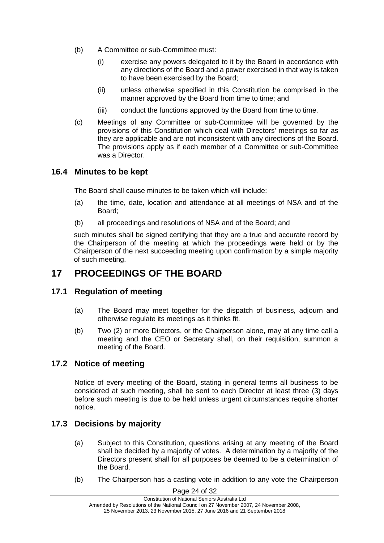- (b) A Committee or sub-Committee must:
	- (i) exercise any powers delegated to it by the Board in accordance with any directions of the Board and a power exercised in that way is taken to have been exercised by the Board;
	- (ii) unless otherwise specified in this Constitution be comprised in the manner approved by the Board from time to time; and
	- (iii) conduct the functions approved by the Board from time to time.
- (c) Meetings of any Committee or sub-Committee will be governed by the provisions of this Constitution which deal with Directors' meetings so far as they are applicable and are not inconsistent with any directions of the Board. The provisions apply as if each member of a Committee or sub-Committee was a Director.

#### <span id="page-23-0"></span>**16.4 Minutes to be kept**

The Board shall cause minutes to be taken which will include:

- (a) the time, date, location and attendance at all meetings of NSA and of the Board;
- (b) all proceedings and resolutions of NSA and of the Board; and

such minutes shall be signed certifying that they are a true and accurate record by the Chairperson of the meeting at which the proceedings were held or by the Chairperson of the next succeeding meeting upon confirmation by a simple majority of such meeting.

## <span id="page-23-1"></span>**17 PROCEEDINGS OF THE BOARD**

#### <span id="page-23-2"></span>**17.1 Regulation of meeting**

- (a) The Board may meet together for the dispatch of business, adjourn and otherwise regulate its meetings as it thinks fit.
- (b) Two (2) or more Directors, or the Chairperson alone, may at any time call a meeting and the CEO or Secretary shall, on their requisition, summon a meeting of the Board.

#### <span id="page-23-3"></span>**17.2 Notice of meeting**

Notice of every meeting of the Board, stating in general terms all business to be considered at such meeting, shall be sent to each Director at least three (3) days before such meeting is due to be held unless urgent circumstances require shorter notice.

### <span id="page-23-4"></span>**17.3 Decisions by majority**

- (a) Subject to this Constitution, questions arising at any meeting of the Board shall be decided by a majority of votes. A determination by a majority of the Directors present shall for all purposes be deemed to be a determination of the Board.
- (b) The Chairperson has a casting vote in addition to any vote the Chairperson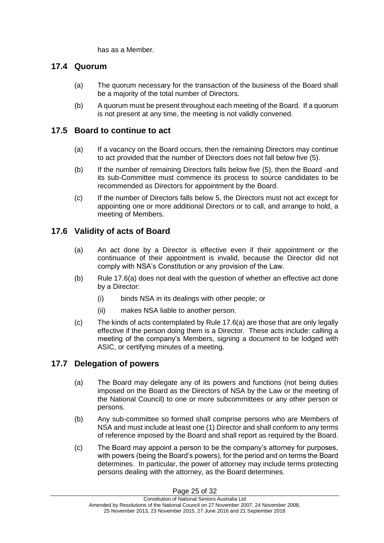has as a Member.

### <span id="page-24-0"></span>**17.4 Quorum**

- (a) The quorum necessary for the transaction of the business of the Board shall be a majority of the total number of Directors.
- (b) A quorum must be present throughout each meeting of the Board. If a quorum is not present at any time, the meeting is not validly convened.

### <span id="page-24-1"></span>**17.5 Board to continue to act**

- (a) If a vacancy on the Board occurs, then the remaining Directors may continue to act provided that the number of Directors does not fall below five (5).
- (b) If the number of remaining Directors falls below five (5), then the Board -and its sub-Committee must commence its process to source candidates to be recommended as Directors for appointment by the Board.
- (c) If the number of Directors falls below 5, the Directors must not act except for appointing one or more additional Directors or to call, and arrange to hold, a meeting of Members.

### <span id="page-24-2"></span>**17.6 Validity of acts of Board**

- (a) An act done by a Director is effective even if their appointment or the continuance of their appointment is invalid, because the Director did not comply with NSA's Constitution or any provision of the Law.
- (b) Rule [17.6\(](#page-24-2)a) does not deal with the question of whether an effective act done by a Director:
	- (i) binds NSA in its dealings with other people; or
	- (ii) makes NSA liable to another person.
- (c) The kinds of acts contemplated by Rule [17.6\(](#page-24-2)a) are those that are only legally effective if the person doing them is a Director. These acts include: calling a meeting of the company's Members, signing a document to be lodged with ASIC, or certifying minutes of a meeting.

#### <span id="page-24-3"></span>**17.7 Delegation of powers**

- (a) The Board may delegate any of its powers and functions (not being duties imposed on the Board as the Directors of NSA by the Law or the meeting of the National Council) to one or more subcommittees or any other person or persons.
- (b) Any sub-committee so formed shall comprise persons who are Members of NSA and must include at least one (1) Director and shall conform to any terms of reference imposed by the Board and shall report as required by the Board.
- (c) The Board may appoint a person to be the company's attorney for purposes, with powers (being the Board's powers), for the period and on terms the Board determines. In particular, the power of attorney may include terms protecting persons dealing with the attorney, as the Board determines.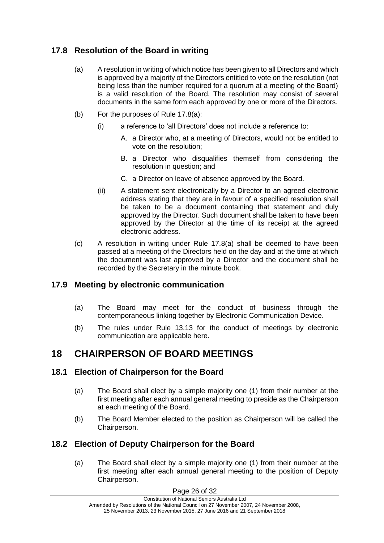## <span id="page-25-0"></span>**17.8 Resolution of the Board in writing**

- (a) A resolution in writing of which notice has been given to all Directors and which is approved by a majority of the Directors entitled to vote on the resolution (not being less than the number required for a quorum at a meeting of the Board) is a valid resolution of the Board. The resolution may consist of several documents in the same form each approved by one or more of the Directors.
- (b) For the purposes of Rule 17.8(a):
	- (i) a reference to 'all Directors' does not include a reference to:
		- A. a Director who, at a meeting of Directors, would not be entitled to vote on the resolution;
		- B. a Director who disqualifies themself from considering the resolution in question; and
		- C. a Director on leave of absence approved by the Board.
	- (ii) A statement sent electronically by a Director to an agreed electronic address stating that they are in favour of a specified resolution shall be taken to be a document containing that statement and duly approved by the Director. Such document shall be taken to have been approved by the Director at the time of its receipt at the agreed electronic address.
- (c) A resolution in writing under Rule 17.8(a) shall be deemed to have been passed at a meeting of the Directors held on the day and at the time at which the document was last approved by a Director and the document shall be recorded by the Secretary in the minute book.

### <span id="page-25-1"></span>**17.9 Meeting by electronic communication**

- (a) The Board may meet for the conduct of business through the contemporaneous linking together by Electronic Communication Device.
- (b) The rules under Rule [13.13](#page-18-4) for the conduct of meetings by electronic communication are applicable here.

# <span id="page-25-2"></span>**18 CHAIRPERSON OF BOARD MEETINGS**

### <span id="page-25-3"></span>**18.1 Election of Chairperson for the Board**

- (a) The Board shall elect by a simple majority one (1) from their number at the first meeting after each annual general meeting to preside as the Chairperson at each meeting of the Board.
- (b) The Board Member elected to the position as Chairperson will be called the Chairperson.

### <span id="page-25-4"></span>**18.2 Election of Deputy Chairperson for the Board**

(a) The Board shall elect by a simple majority one (1) from their number at the first meeting after each annual general meeting to the position of Deputy Chairperson.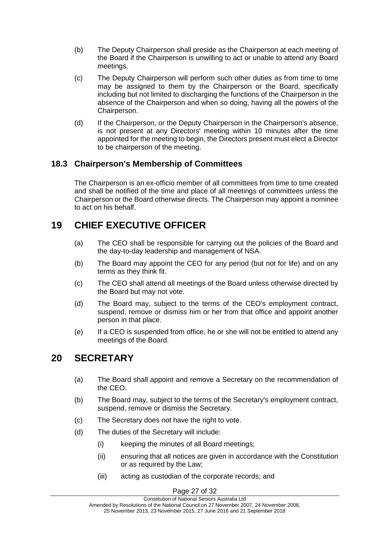- (b) The Deputy Chairperson shall preside as the Chairperson at each meeting of the Board if the Chairperson is unwilling to act or unable to attend any Board meetings.
- (c) The Deputy Chairperson will perform such other duties as from time to time may be assigned to them by the Chairperson or the Board, specifically including but not limited to discharging the functions of the Chairperson in the absence of the Chairperson and when so doing, having all the powers of the Chairperson.
- (d) If the Chairperson, or the Deputy Chairperson in the Chairperson's absence, is not present at any Directors' meeting within 10 minutes after the time appointed for the meeting to begin, the Directors present must elect a Director to be chairperson of the meeting.

### <span id="page-26-0"></span>**18.3 Chairperson's Membership of Committees**

The Chairperson is an ex-officio member of all committees from time to time created and shall be notified of the time and place of all meetings of committees unless the Chairperson or the Board otherwise directs. The Chairperson may appoint a nominee to act on his behalf.

# <span id="page-26-1"></span>**19 CHIEF EXECUTIVE OFFICER**

- (a) The CEO shall be responsible for carrying out the policies of the Board and the day-to-day leadership and management of NSA.
- (b) The Board may appoint the CEO for any period (but not for life) and on any terms as they think fit.
- (c) The CEO shall attend all meetings of the Board unless otherwise directed by the Board but may not vote.
- (d) The Board may, subject to the terms of the CEO's employment contract, suspend, remove or dismiss him or her from that office and appoint another person in that place.
- (e) If a CEO is suspended from office, he or she will not be entitled to attend any meetings of the Board.

# <span id="page-26-2"></span>**20 SECRETARY**

- (a) The Board shall appoint and remove a Secretary on the recommendation of the CEO.
- (b) The Board may, subject to the terms of the Secretary's employment contract, suspend, remove or dismiss the Secretary.
- (c) The Secretary does not have the right to vote.
- (d) The duties of the Secretary will include:
	- (i) keeping the minutes of all Board meetings;
	- (ii) ensuring that all notices are given in accordance with the Constitution or as required by the Law;
	- (iii) acting as custodian of the corporate records; and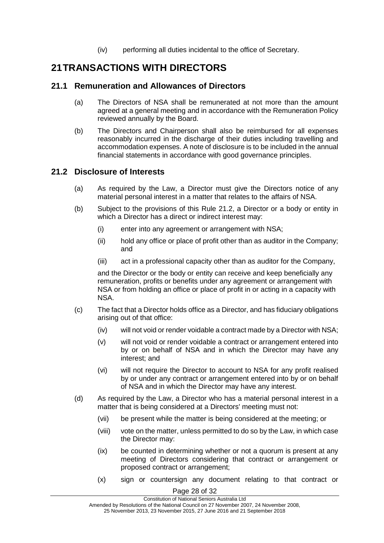(iv) performing all duties incidental to the office of Secretary.

# <span id="page-27-0"></span>**21TRANSACTIONS WITH DIRECTORS**

#### <span id="page-27-1"></span>**21.1 Remuneration and Allowances of Directors**

- (a) The Directors of NSA shall be remunerated at not more than the amount agreed at a general meeting and in accordance with the Remuneration Policy reviewed annually by the Board.
- (b) The Directors and Chairperson shall also be reimbursed for all expenses reasonably incurred in the discharge of their duties including travelling and accommodation expenses. A note of disclosure is to be included in the annual financial statements in accordance with good governance principles.

#### <span id="page-27-2"></span>**21.2 Disclosure of Interests**

- (a) As required by the Law, a Director must give the Directors notice of any material personal interest in a matter that relates to the affairs of NSA.
- (b) Subject to the provisions of this Rule 21.2, a Director or a body or entity in which a Director has a direct or indirect interest may:
	- (i) enter into any agreement or arrangement with NSA;
	- (ii) hold any office or place of profit other than as auditor in the Company; and
	- (iii) act in a professional capacity other than as auditor for the Company,

and the Director or the body or entity can receive and keep beneficially any remuneration, profits or benefits under any agreement or arrangement with NSA or from holding an office or place of profit in or acting in a capacity with NSA.

- (c) The fact that a Director holds office as a Director, and has fiduciary obligations arising out of that office:
	- (iv) will not void or render voidable a contract made by a Director with NSA;
	- (v) will not void or render voidable a contract or arrangement entered into by or on behalf of NSA and in which the Director may have any interest; and
	- (vi) will not require the Director to account to NSA for any profit realised by or under any contract or arrangement entered into by or on behalf of NSA and in which the Director may have any interest.
- (d) As required by the Law, a Director who has a material personal interest in a matter that is being considered at a Directors' meeting must not:
	- (vii) be present while the matter is being considered at the meeting; or
	- (viii) vote on the matter, unless permitted to do so by the Law, in which case the Director may:
	- (ix) be counted in determining whether or not a quorum is present at any meeting of Directors considering that contract or arrangement or proposed contract or arrangement;
	- (x) sign or countersign any document relating to that contract or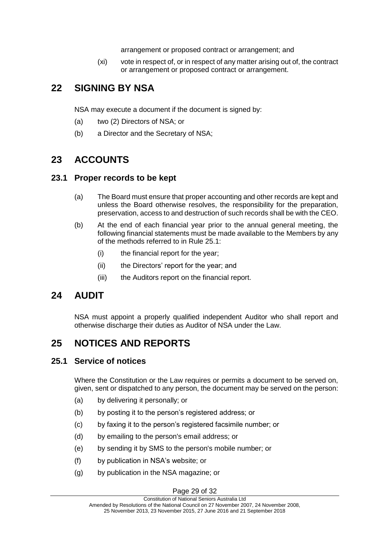arrangement or proposed contract or arrangement; and

(xi) vote in respect of, or in respect of any matter arising out of, the contract or arrangement or proposed contract or arrangement.

# <span id="page-28-0"></span>**22 SIGNING BY NSA**

NSA may execute a document if the document is signed by:

- (a) two (2) Directors of NSA; or
- (b) a Director and the Secretary of NSA;

# <span id="page-28-1"></span>**23 ACCOUNTS**

### <span id="page-28-2"></span>**23.1 Proper records to be kept**

- (a) The Board must ensure that proper accounting and other records are kept and unless the Board otherwise resolves, the responsibility for the preparation, preservation, access to and destruction of such records shall be with the CEO.
- (b) At the end of each financial year prior to the annual general meeting, the following financial statements must be made available to the Members by any of the methods referred to in Rule 25.1:
	- (i) the financial report for the year;
	- (ii) the Directors' report for the year; and
	- (iii) the Auditors report on the financial report.

# <span id="page-28-3"></span>**24 AUDIT**

NSA must appoint a properly qualified independent Auditor who shall report and otherwise discharge their duties as Auditor of NSA under the Law.

# <span id="page-28-4"></span>**25 NOTICES AND REPORTS**

### <span id="page-28-5"></span>**25.1 Service of notices**

Where the Constitution or the Law requires or permits a document to be served on, given, sent or dispatched to any person, the document may be served on the person:

- (a) by delivering it personally; or
- (b) by posting it to the person's registered address; or
- (c) by faxing it to the person's registered facsimile number; or
- (d) by emailing to the person's email address; or
- (e) by sending it by SMS to the person's mobile number; or
- (f) by publication in NSA's website; or
- (g) by publication in the NSA magazine; or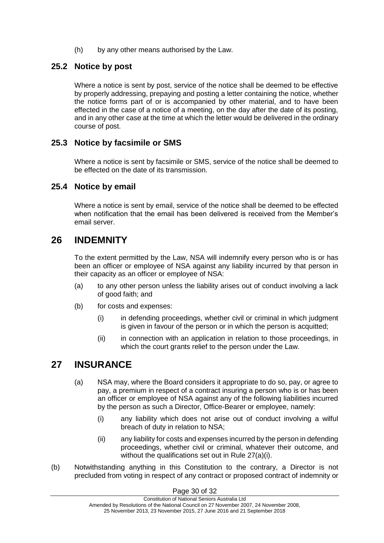(h) by any other means authorised by the Law.

### <span id="page-29-0"></span>**25.2 Notice by post**

Where a notice is sent by post, service of the notice shall be deemed to be effective by properly addressing, prepaying and posting a letter containing the notice, whether the notice forms part of or is accompanied by other material, and to have been effected in the case of a notice of a meeting, on the day after the date of its posting, and in any other case at the time at which the letter would be delivered in the ordinary course of post.

### <span id="page-29-1"></span>**25.3 Notice by facsimile or SMS**

Where a notice is sent by facsimile or SMS, service of the notice shall be deemed to be effected on the date of its transmission.

#### <span id="page-29-2"></span>**25.4 Notice by email**

Where a notice is sent by email, service of the notice shall be deemed to be effected when notification that the email has been delivered is received from the Member's email server.

## <span id="page-29-3"></span>**26 INDEMNITY**

To the extent permitted by the Law, NSA will indemnify every person who is or has been an officer or employee of NSA against any liability incurred by that person in their capacity as an officer or employee of NSA:

- (a) to any other person unless the liability arises out of conduct involving a lack of good faith; and
- (b) for costs and expenses:
	- (i) in defending proceedings, whether civil or criminal in which judgment is given in favour of the person or in which the person is acquitted;
	- (ii) in connection with an application in relation to those proceedings, in which the court grants relief to the person under the Law.

## <span id="page-29-4"></span>**27 INSURANCE**

- (a) NSA may, where the Board considers it appropriate to do so, pay, or agree to pay, a premium in respect of a contract insuring a person who is or has been an officer or employee of NSA against any of the following liabilities incurred by the person as such a Director, Office-Bearer or employee, namely:
	- (i) any liability which does not arise out of conduct involving a wilful breach of duty in relation to NSA;
	- (ii) any liability for costs and expenses incurred by the person in defending proceedings, whether civil or criminal, whatever their outcome, and without the qualifications set out in Rule 27(a)(i).
- (b) Notwithstanding anything in this Constitution to the contrary, a Director is not precluded from voting in respect of any contract or proposed contract of indemnity or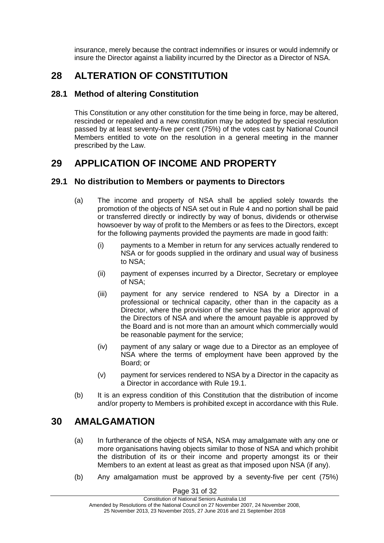insurance, merely because the contract indemnifies or insures or would indemnify or insure the Director against a liability incurred by the Director as a Director of NSA.

# <span id="page-30-0"></span>**28 ALTERATION OF CONSTITUTION**

### <span id="page-30-1"></span>**28.1 Method of altering Constitution**

This Constitution or any other constitution for the time being in force, may be altered, rescinded or repealed and a new constitution may be adopted by special resolution passed by at least seventy-five per cent (75%) of the votes cast by National Council Members entitled to vote on the resolution in a general meeting in the manner prescribed by the Law.

# <span id="page-30-2"></span>**29 APPLICATION OF INCOME AND PROPERTY**

#### <span id="page-30-3"></span>**29.1 No distribution to Members or payments to Directors**

- (a) The income and property of NSA shall be applied solely towards the promotion of the objects of NSA set out in Rule 4 and no portion shall be paid or transferred directly or indirectly by way of bonus, dividends or otherwise howsoever by way of profit to the Members or as fees to the Directors, except for the following payments provided the payments are made in good faith:
	- (i) payments to a Member in return for any services actually rendered to NSA or for goods supplied in the ordinary and usual way of business to NSA;
	- (ii) payment of expenses incurred by a Director, Secretary or employee of NSA;
	- (iii) payment for any service rendered to NSA by a Director in a professional or technical capacity, other than in the capacity as a Director, where the provision of the service has the prior approval of the Directors of NSA and where the amount payable is approved by the Board and is not more than an amount which commercially would be reasonable payment for the service;
	- (iv) payment of any salary or wage due to a Director as an employee of NSA where the terms of employment have been approved by the Board; or
	- (v) payment for services rendered to NSA by a Director in the capacity as a Director in accordance with Rule 19.1.
- (b) It is an express condition of this Constitution that the distribution of income and/or property to Members is prohibited except in accordance with this Rule.

## <span id="page-30-4"></span>**30 AMALGAMATION**

- (a) In furtherance of the objects of NSA, NSA may amalgamate with any one or more organisations having objects similar to those of NSA and which prohibit the distribution of its or their income and property amongst its or their Members to an extent at least as great as that imposed upon NSA (if any).
- (b) Any amalgamation must be approved by a seventy-five per cent (75%)